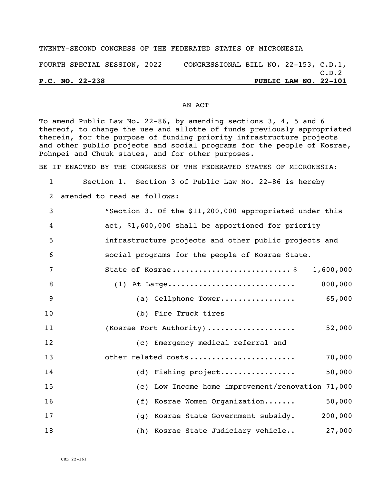## TWENTY-SECOND CONGRESS OF THE FEDERATED STATES OF MICRONESIA

FOURTH SPECIAL SESSION, 2022 CONGRESSIONAL BILL NO. 22-153, C.D.1, C.D.2

**P.C. NO. 22-238 PUBLIC LAW NO. 22-101**

## AN ACT

To amend Public Law No. 22-86, by amending sections 3, 4, 5 and 6 thereof, to change the use and allotte of funds previously appropriated therein, for the purpose of funding priority infrastructure projects and other public projects and social programs for the people of Kosrae, Pohnpei and Chuuk states, and for other purposes.

BE IT ENACTED BY THE CONGRESS OF THE FEDERATED STATES OF MICRONESIA:

 Section 1. Section 3 of Public Law No. 22-86 is hereby amended to read as follows: "Section 3. Of the \$11,200,000 appropriated under this act, \$1,600,000 shall be apportioned for priority infrastructure projects and other public projects and social programs for the people of Kosrae State. State of Kosrae ........................... \$ 1,600,000 (1) At Large............................. 800,000 (a) Cellphone Tower................. 65,000 (b) Fire Truck tires (Kosrae Port Authority) .................... 52,000 (c) Emergency medical referral and other related costs ........................ 70,000 (d) Fishing project................. 50,000 (e) Low Income home improvement/renovation 71,000 16 (f) Kosrae Women Organization....... 50,000 (g) Kosrae State Government subsidy. 200,000 (h) Kosrae State Judiciary vehicle.. 27,000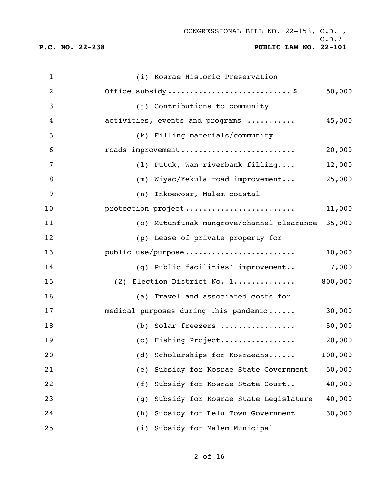| 1              | (i) Kosrae Historic Preservation            |         |
|----------------|---------------------------------------------|---------|
| $\overline{2}$ | Office subsidy\$                            | 50,000  |
| 3              | (j) Contributions to community              |         |
| 4              | activities, events and programs             | 45,000  |
| 5              | (k) Filling materials/community             |         |
| 6              | roads improvement                           | 20,000  |
| 7              | (1) Putuk, Wan riverbank filling            | 12,000  |
| 8              | (m) Wiyac/Yekula road improvement           | 25,000  |
| 9              | (n) Inkoewosr, Malem coastal                |         |
| 10             | protection project                          | 11,000  |
| 11             | (o) Mutunfunak mangrove/channel clearance   | 35,000  |
| 12             | (p) Lease of private property for           |         |
| 13             | public use/purpose                          | 10,000  |
| 14             | (q) Public facilities' improvement          | 7,000   |
| 15             | (2) Election District No. 1                 | 800,000 |
| 16             | (a) Travel and associated costs for         |         |
| 17             | medical purposes during this pandemic       | 30,000  |
| 18             | (b) Solar freezers                          | 50,000  |
| 19             | (c) Fishing Project                         | 20,000  |
| 20             | Scholarships for Kosraeans<br>(d)           | 100,000 |
| 21             | Subsidy for Kosrae State Government<br>(e)  | 50,000  |
| 22             | Subsidy for Kosrae State Court<br>(f)       | 40,000  |
| 23             | Subsidy for Kosrae State Legislature<br>(g) | 40,000  |
| 24             | Subsidy for Lelu Town Government<br>(h)     | 30,000  |
| 25             | Subsidy for Malem Municipal<br>(i)          |         |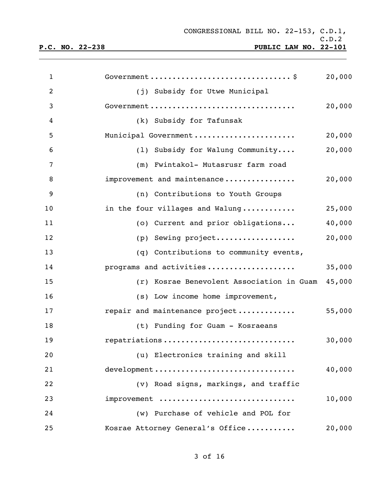C.D.2 **P.C. NO. 22-238 PUBLIC LAW NO. 22-101**

| $\mathbf{1}$   |                                           | 20,000 |
|----------------|-------------------------------------------|--------|
| $\overline{2}$ | (j) Subsidy for Utwe Municipal            |        |
| 3              | Government                                | 20,000 |
| 4              | (k) Subsidy for Tafunsak                  |        |
| 5              | Municipal Government                      | 20,000 |
| 6              | (1) Subsidy for Walung Community          | 20,000 |
| 7              | (m) Fwintakol- Mutasrusr farm road        |        |
| 8              | improvement and maintenance               | 20,000 |
| 9              | (n) Contributions to Youth Groups         |        |
| 10             | in the four villages and Walung           | 25,000 |
| 11             | (o) Current and prior obligations         | 40,000 |
| 12             | (p) Sewing project                        | 20,000 |
| 13             | (q) Contributions to community events,    |        |
| 14             | programs and activities                   | 35,000 |
| 15             | (r) Kosrae Benevolent Association in Guam | 45,000 |
| 16             | (s) Low income home improvement,          |        |
| 17             | repair and maintenance project            | 55,000 |
| 18             | (t) Funding for Guam - Kosraeans          |        |
| 19             | repatriations                             | 30,000 |
| 20             | (u) Electronics training and skill        |        |
| 21             | development                               | 40,000 |
| 22             | (v) Road signs, markings, and traffic     |        |
| 23             | improvement                               | 10,000 |
| 24             | (w) Purchase of vehicle and POL for       |        |
| 25             | Kosrae Attorney General's Office          | 20,000 |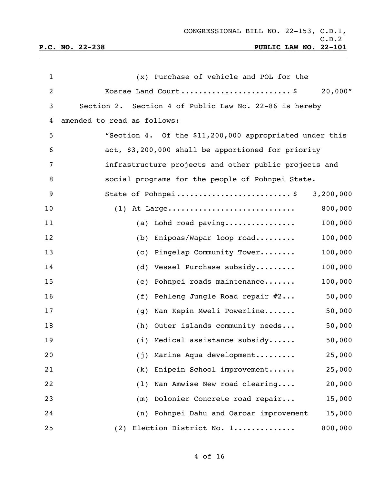| $\mathbf{1}$ | (x) Purchase of vehicle and POL for the                 |
|--------------|---------------------------------------------------------|
| 2            | Kosrae Land Court\$<br>20,000"                          |
| 3            | Section 2. Section 4 of Public Law No. 22-86 is hereby  |
| 4            | amended to read as follows:                             |
| 5            | "Section 4. Of the \$11,200,000 appropriated under this |
| 6            | act, \$3,200,000 shall be apportioned for priority      |
| 7            | infrastructure projects and other public projects and   |
| 8            | social programs for the people of Pohnpei State.        |
| 9            | State of Pohnpei\$ 3,200,000                            |
| 10           | $(1)$ At Large<br>800,000                               |
| 11           | 100,000<br>(a) Lohd road paving                         |
| 12           | 100,000<br>Enipoas/Wapar loop road<br>(b)               |
| 13           | 100,000<br>Pingelap Community Tower<br>(C)              |
| 14           | 100,000<br>Vessel Purchase subsidy<br>(d)               |
| 15           | 100,000<br>Pohnpei roads maintenance<br>(e)             |
| 16           | 50,000<br>Pehleng Jungle Road repair #2<br>(f)          |
| 17           | 50,000<br>Nan Kepin Mweli Powerline<br>(g)              |
| 18           | (h) Outer islands community needs<br>50,000             |
| 19           | (i) Medical assistance subsidy<br>50,000                |
| 20           | Marine Aqua development<br>25,000<br>(j)                |
| 21           | Enipein School improvement<br>25,000<br>(k)             |
| 22           | Nan Amwise New road clearing<br>20,000<br>(1)           |
| 23           | Dolonier Concrete road repair<br>15,000<br>(m)          |
| 24           | (n) Pohnpei Dahu and Oaroar improvement<br>15,000       |
| 25           | 800,000<br>Election District No. 1<br>(2)               |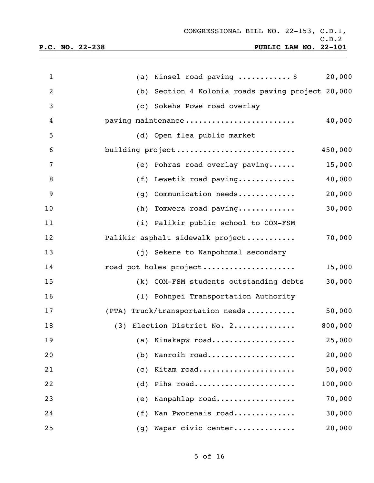| $\mathbf{1}$   | (a) Ninsel road paving $\ldots \ldots \ldots$ , \$<br>20,000 |
|----------------|--------------------------------------------------------------|
| $\overline{2}$ | (b) Section 4 Kolonia roads paving project 20,000            |
| 3              | (c) Sokehs Powe road overlay                                 |
| 4              | 40,000<br>paving maintenance                                 |
| 5              | (d) Open flea public market                                  |
| 6              | 450,000<br>building project                                  |
| 7              | (e) Pohras road overlay paving<br>15,000                     |
| 8              | 40,000<br>(f) Lewetik road paving                            |
| 9              | $(g)$ Communication needs<br>20,000                          |
| 10             | 30,000<br>$(h)$ Tomwera road paving                          |
| 11             | (i) Palikir public school to COM-FSM                         |
| 12             | 70,000<br>Palikir asphalt sidewalk project                   |
| 13             | (j) Sekere to Nanpohnmal secondary                           |
| 14             | 15,000<br>road pot holes project                             |
| 15             | 30,000<br>(k) COM-FSM students outstanding debts             |
| 16             | (1) Pohnpei Transportation Authority                         |
| 17             | 50,000<br>(PTA) Truck/transportation needs                   |
| 18             | (3) Election District No. 2<br>800,000                       |
| 19             | (a) Kinakapw road<br>25,000                                  |
| 20             | Nanroih road<br>20,000<br>(b)                                |
| 21             | 50,000<br>Kitam road<br>(c)                                  |
| 22             | 100,000<br>Pihs road<br>(d)                                  |
| 23             | 70,000<br>Nanpahlap road<br>(e)                              |
| 24             | 30,000<br>Nan Pworenais road<br>(f)                          |
| 25             | Wapar civic center<br>20,000<br>(g)                          |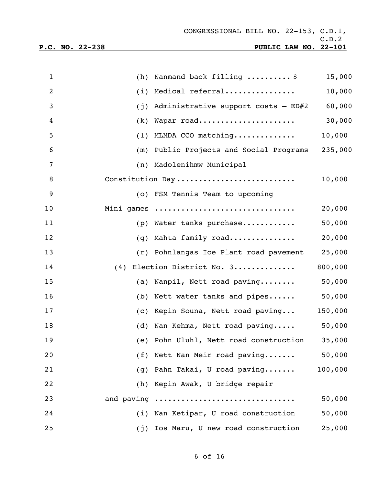| $\mathbf{1}$   |            | (h) Nanmand back filling $\ldots \ldots \ldots$ \$ | 15,000  |
|----------------|------------|----------------------------------------------------|---------|
| $\overline{2}$ |            | (i) Medical referral                               | 10,000  |
| 3              | (j)        | Administrative support costs - ED#2                | 60,000  |
| 4              |            | (k) Wapar road                                     | 30,000  |
| 5              |            | $(1)$ MLMDA CCO matching                           | 10,000  |
| 6              |            | (m) Public Projects and Social Programs            | 235,000 |
| 7              |            | (n) Madolenihmw Municipal                          |         |
| 8              |            | Constitution Day                                   | 10,000  |
| 9              |            | (o) FSM Tennis Team to upcoming                    |         |
| 10             |            | Mini games                                         | 20,000  |
| 11             |            | (p) Water tanks purchase                           | 50,000  |
| 12             | (q)        | Mahta family road                                  | 20,000  |
| 13             |            | (r) Pohnlangas Ice Plant road pavement             | 25,000  |
| 14             |            | (4) Election District No. 3                        | 800,000 |
| 15             |            | (a) Nanpil, Nett road paving                       | 50,000  |
| 16             |            | (b) Nett water tanks and pipes                     | 50,000  |
| 17             |            | (c) Kepin Souna, Nett road paving                  | 150,000 |
| 18             |            | (d) Nan Kehma, Nett road paving                    | 50,000  |
| 19             |            | (e) Pohn Uluhl, Nett road construction             | 35,000  |
| 20             | (f)        | Nett Nan Meir road paving                          | 50,000  |
| 21             | (g)        | Pahn Takai, U road paving                          | 100,000 |
| 22             | (h)        | Kepin Awak, U bridge repair                        |         |
| 23             | and paving |                                                    | 50,000  |
| 24             | (i)        | Nan Ketipar, U road construction                   | 50,000  |
| 25             | (j)        | Ios Maru, U new road construction                  | 25,000  |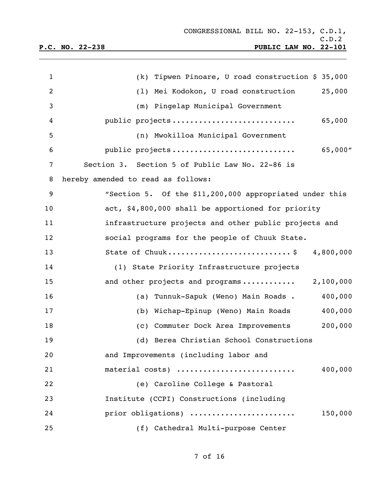| $\mathbf 1$    | (k) Tipwen Pinoare, U road construction \$ 35,000       |
|----------------|---------------------------------------------------------|
| $\overline{2}$ | (1) Mei Kodokon, U road construction<br>25,000          |
| 3              | (m) Pingelap Municipal Government                       |
| 4              | public projects<br>65,000                               |
| 5              | (n) Mwokilloa Municipal Government                      |
| 6              | 65,000"<br>public projects                              |
| 7              | Section 3. Section 5 of Public Law No. 22-86 is         |
| 8              | hereby amended to read as follows:                      |
| 9              | "Section 5. Of the \$11,200,000 appropriated under this |
| 10             | act, \$4,800,000 shall be apportioned for priority      |
| 11             | infrastructure projects and other public projects and   |
| 12             | social programs for the people of Chuuk State.          |
| 13             | State of Chuuk\$ 4,800,000                              |
| 14             | (1) State Priority Infrastructure projects              |
| 15             | and other projects and programs 2,100,000               |
| 16             | (a) Tunnuk-Sapuk (Weno) Main Roads.<br>400,000          |
| 17             | (b) Wichap-Epinup (Weno) Main Roads<br>400,000          |
| 18             | (c) Commuter Dock Area Improvements<br>200,000          |
| 19             | (d) Berea Christian School Constructions                |
| 20             | and Improvements (including labor and                   |
| 21             | material costs)<br>400,000                              |
| 22             | (e) Caroline College & Pastoral                         |
| 23             | Institute (CCPI) Constructions (including               |
| 24             | prior obligations)<br>150,000                           |
| 25             | (f) Cathedral Multi-purpose Center                      |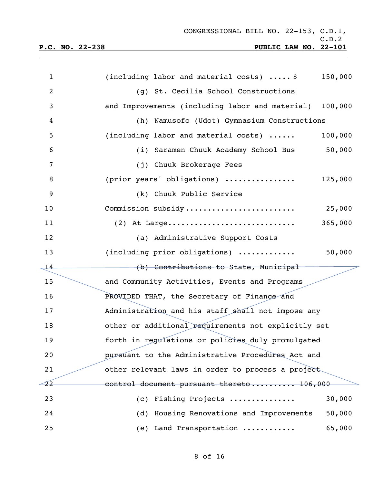| $\mathbf{1}$             | (including labor and material costs) $\ldots$ . \$<br>150,000 |
|--------------------------|---------------------------------------------------------------|
| $\overline{2}$           | (g) St. Cecilia School Constructions                          |
| 3                        | and Improvements (including labor and material)<br>100,000    |
| 4                        | (h) Namusofo (Udot) Gymnasium Constructions                   |
| 5                        | (including labor and material costs)<br>100,000               |
| 6                        | (i) Saramen Chuuk Academy School Bus<br>50,000                |
| $\overline{7}$           | (j) Chuuk Brokerage Fees                                      |
| 8                        | (prior years' obligations)<br>125,000                         |
| $\overline{9}$           | (k) Chuuk Public Service                                      |
| 10                       | Commission subsidy<br>25,000                                  |
| 11                       | 365,000<br>$(2)$ At Large                                     |
| 12                       | (a) Administrative Support Costs                              |
| 13                       | (including prior obligations)<br>50,000                       |
| $\overline{\mathcal{A}}$ | (b) Contributions to State, Municipal                         |
| 15                       | and Community Activities, Events and Programs                 |
| 16                       | PROVIDED THAT, the Secretary of Finance and                   |
| 17                       | Administration and his staff shall not impose any             |
| 18                       | other or additional requirements not explicitly set           |
| 19                       | forth in regulations or policies duly promulgated             |
| 20                       | pursuant to the Administrative Procedures Act and             |
| 21                       | other relevant laws in order to process a project             |
| -22                      | control document pursuant thereto 106,000                     |
| 23                       | 30,000<br>Fishing Projects<br>(C)                             |
| 24                       | Housing Renovations and Improvements<br>50,000<br>(d)         |
| 25                       | (e) Land Transportation<br>65,000                             |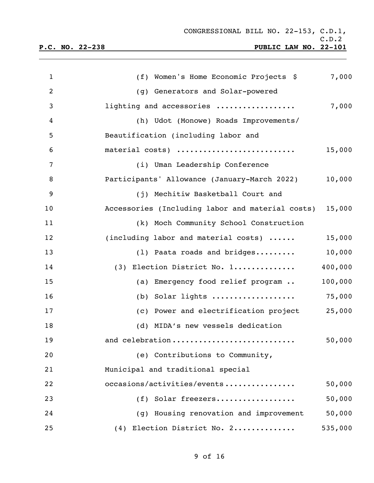**P.C. NO. 22-238 PUBLIC LAW NO. 22-101**

| $\mathbf{1}$   | (f) Women's Home Economic Projects \$                 | 7,000   |
|----------------|-------------------------------------------------------|---------|
| $\overline{2}$ | (g) Generators and Solar-powered                      |         |
| 3              | lighting and accessories                              | 7,000   |
| 4              | (h) Udot (Monowe) Roads Improvements/                 |         |
| 5              | Beautification (including labor and                   |         |
| 6              | material costs)                                       | 15,000  |
| 7              | (i) Uman Leadership Conference                        |         |
| 8              | Participants' Allowance (January-March 2022)          | 10,000  |
| 9              | (j) Mechitiw Basketball Court and                     |         |
| 10             | Accessories (Including labor and material costs)      | 15,000  |
| 11             | (k) Moch Community School Construction                |         |
| 12             | (including labor and material costs)                  | 15,000  |
| 13             | (1) Paata roads and bridges                           | 10,000  |
| 14             | (3) Election District No. 1                           | 400,000 |
| 15             | (a) Emergency food relief program                     | 100,000 |
| 16             | (b) Solar lights $\ldots \ldots \ldots \ldots \ldots$ | 75,000  |
| 17             | (c) Power and electrification project                 | 25,000  |
| 18             | (d) MIDA's new vessels dedication                     |         |
| 19             | and celebration                                       | 50,000  |
| 20             | (e) Contributions to Community,                       |         |
| 21             | Municipal and traditional special                     |         |
| 22             | occasions/activities/events                           | 50,000  |
| 23             | (f) Solar freezers                                    | 50,000  |
| 24             | (g) Housing renovation and improvement                | 50,000  |
| 25             | (4) Election District No. 2                           | 535,000 |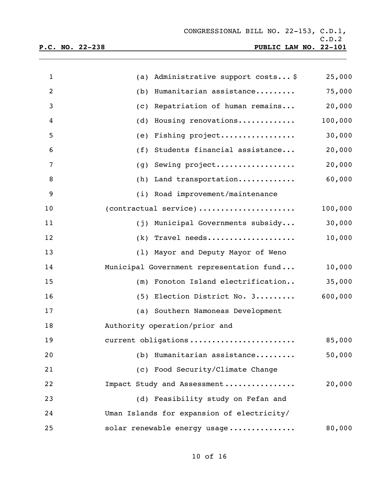| $\mathbf{1}$   | (a) Administrative support costs \$        | 25,000  |
|----------------|--------------------------------------------|---------|
| $\overline{2}$ | (b) Humanitarian assistance                | 75,000  |
| 3              | (c) Repatriation of human remains          | 20,000  |
| 4              | Housing renovations<br>(d)                 | 100,000 |
| 5              | Fishing project<br>(e)                     | 30,000  |
| 6              | (f) Students financial assistance          | 20,000  |
| 7              | Sewing project<br>(g)                      | 20,000  |
| 8              | (h) Land transportation                    | 60,000  |
| 9              | (i) Road improvement/maintenance           |         |
| 10             | (contractual service)                      | 100,000 |
| 11             | (j) Municipal Governments subsidy          | 30,000  |
| 12             | $(k)$ Travel needs                         | 10,000  |
| 13             | (1) Mayor and Deputy Mayor of Weno         |         |
| 14             | Municipal Government representation fund   | 10,000  |
| 15             | (m) Fonoton Island electrification         | 35,000  |
| 16             | (5) Election District No. 3                | 600,000 |
| 17             | (a) Southern Namoneas Development          |         |
| 18             | Authority operation/prior and              |         |
| 19             | current obligations                        | 85,000  |
| 20             | (b) Humanitarian assistance                | 50,000  |
| 21             | (c) Food Security/Climate Change           |         |
| 22             | Impact Study and Assessment                | 20,000  |
| 23             | (d) Feasibility study on Fefan and         |         |
| 24             | Uman Islands for expansion of electricity/ |         |
| 25             | solar renewable energy usage               | 80,000  |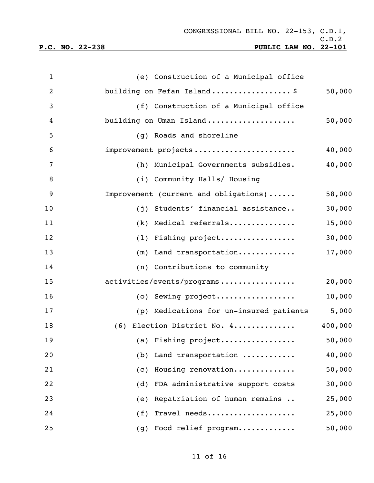| $\mathbf{1}$   | (e) Construction of a Municipal office  |         |
|----------------|-----------------------------------------|---------|
| $\overline{2}$ | building on Fefan Island\$              | 50,000  |
| 3              | (f) Construction of a Municipal office  |         |
| 4              | building on Uman Island                 | 50,000  |
| 5              | (g) Roads and shoreline                 |         |
| 6              | improvement projects                    | 40,000  |
| 7              | (h) Municipal Governments subsidies.    | 40,000  |
| $\, 8$         | (i) Community Halls/ Housing            |         |
| 9              | Improvement (current and obligations)   | 58,000  |
| 10             | (j) Students' financial assistance      | 30,000  |
| 11             | (k) Medical referrals                   | 15,000  |
| 12             | (1) Fishing project                     | 30,000  |
| 13             | $(m)$ Land transportation               | 17,000  |
| 14             | (n) Contributions to community          |         |
| 15             | activities/events/programs              | 20,000  |
| 16             | (o) Sewing project                      | 10,000  |
| 17             | (p) Medications for un-insured patients | 5,000   |
| 18             | (6) Election District No. 4             | 400,000 |
| 19             | (a) Fishing project                     | 50,000  |
| 20             | Land transportation<br>(b)              | 40,000  |
| 21             | Housing renovation<br>(C)               | 50,000  |
| 22             | FDA administrative support costs<br>(d) | 30,000  |
| 23             | Repatriation of human remains<br>(e)    | 25,000  |
| 24             | Travel needs<br>(f)                     | 25,000  |
| 25             | Food relief program<br>(g)              | 50,000  |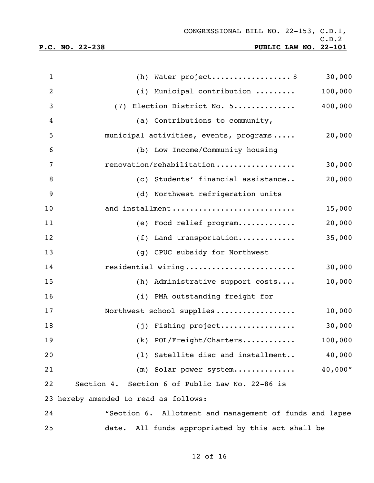| $\mathbf{1}$   | (h) Water project\$<br>30,000                           |
|----------------|---------------------------------------------------------|
| $\overline{2}$ | (i) Municipal contribution<br>100,000                   |
| 3              | (7) Election District No. 5<br>400,000                  |
| 4              | (a) Contributions to community,                         |
| 5              | municipal activities, events, programs<br>20,000        |
| 6              | (b) Low Income/Community housing                        |
| 7              | renovation/rehabilitation<br>30,000                     |
| 8              | (c) Students' financial assistance<br>20,000            |
| 9              | (d) Northwest refrigeration units                       |
| 10             | and installment<br>15,000                               |
| 11             | 20,000<br>(e) Food relief program                       |
| 12             | 35,000<br>$(f)$ Land transportation                     |
| 13             | (g) CPUC subsidy for Northwest                          |
| 14             | residential wiring<br>30,000                            |
| 15             | 10,000<br>(h) Administrative support costs              |
| 16             | (i) PMA outstanding freight for                         |
| 17             | Northwest school supplies<br>10,000                     |
| 18             | (j) Fishing project<br>30,000                           |
| 19             | $(k)$ POL/Freight/Charters<br>100,000                   |
| 20             | (1) Satellite disc and installment<br>40,000            |
| 21             | 40,000"<br>(m) Solar power system                       |
| 22             | Section 4. Section 6 of Public Law No. 22-86 is         |
|                | 23 hereby amended to read as follows:                   |
| 24             | "Section 6. Allotment and management of funds and lapse |
| 25             | date. All funds appropriated by this act shall be       |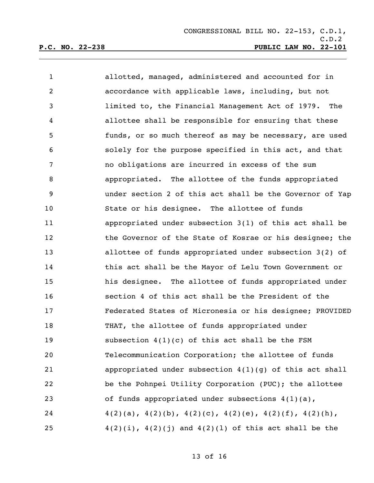| $\mathbf{1}$ | allotted, managed, administered and accounted for in                    |
|--------------|-------------------------------------------------------------------------|
| 2            | accordance with applicable laws, including, but not                     |
| 3            | limited to, the Financial Management Act of 1979. The                   |
| 4            | allottee shall be responsible for ensuring that these                   |
| 5            | funds, or so much thereof as may be necessary, are used                 |
| 6            | solely for the purpose specified in this act, and that                  |
| 7            | no obligations are incurred in excess of the sum                        |
| 8            | appropriated. The allottee of the funds appropriated                    |
| 9            | under section 2 of this act shall be the Governor of Yap                |
| 10           | State or his designee. The allottee of funds                            |
| 11           | appropriated under subsection 3(1) of this act shall be                 |
| 12           | the Governor of the State of Kosrae or his designee; the                |
| 13           | allottee of funds appropriated under subsection 3(2) of                 |
| 14           | this act shall be the Mayor of Lelu Town Government or                  |
| 15           | his designee. The allottee of funds appropriated under                  |
| 16           | section 4 of this act shall be the President of the                     |
| 17           | Federated States of Micronesia or his designee; PROVIDED                |
| 18           | THAT, the allottee of funds appropriated under                          |
| 19           | subsection $4(1)(c)$ of this act shall be the FSM                       |
| 20           | Telecommunication Corporation; the allottee of funds                    |
| 21           | appropriated under subsection $4(1)(g)$ of this act shall               |
| 22           | be the Pohnpei Utility Corporation (PUC); the allottee                  |
| 23           | of funds appropriated under subsections 4(1)(a),                        |
| 24           | $4(2)(a)$ , $4(2)(b)$ , $4(2)(c)$ , $4(2)(e)$ , $4(2)(f)$ , $4(2)(h)$ , |
| 25           | $4(2)(i)$ , $4(2)(j)$ and $4(2)(1)$ of this act shall be the            |

of 16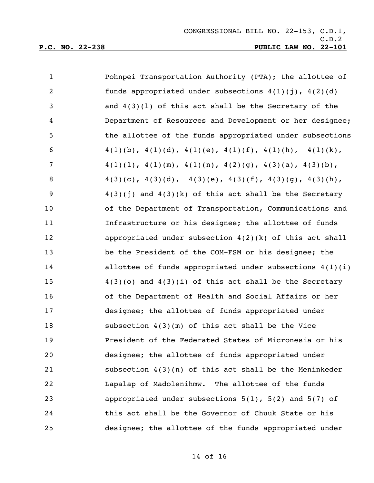| $\mathbf{1}$   | Pohnpei Transportation Authority (PTA); the allottee of                 |
|----------------|-------------------------------------------------------------------------|
| $\overline{c}$ | funds appropriated under subsections $4(1)(j)$ , $4(2)(d)$              |
| 3              | and $4(3)(1)$ of this act shall be the Secretary of the                 |
| 4              | Department of Resources and Development or her designee;                |
| 5              | the allottee of the funds appropriated under subsections                |
| 6              | $4(1)(b)$ , $4(1)(d)$ , $4(1)(e)$ , $4(1)(f)$ , $4(1)(h)$ , $4(1)(k)$ , |
| 7              | $4(1)(1)$ , $4(1)(m)$ , $4(1)(n)$ , $4(2)(g)$ , $4(3)(a)$ , $4(3)(b)$ , |
| 8              | $4(3)(c)$ , $4(3)(d)$ , $4(3)(e)$ , $4(3)(f)$ , $4(3)(g)$ , $4(3)(h)$ , |
| 9              | $4(3)(j)$ and $4(3)(k)$ of this act shall be the Secretary              |
| 10             | of the Department of Transportation, Communications and                 |
| 11             | Infrastructure or his designee; the allottee of funds                   |
| 12             | appropriated under subsection $4(2)(k)$ of this act shall               |
| 13             | be the President of the COM-FSM or his designee; the                    |
| 14             | allottee of funds appropriated under subsections $4(1)(i)$              |
| 15             | $4(3)(o)$ and $4(3)(i)$ of this act shall be the Secretary              |
| 16             | of the Department of Health and Social Affairs or her                   |
| 17             | designee; the allottee of funds appropriated under                      |
| 18             | subsection $4(3)(m)$ of this act shall be the Vice                      |
| 19             | President of the Federated States of Micronesia or his                  |
| 20             | designee; the allottee of funds appropriated under                      |
| 21             | subsection $4(3)(n)$ of this act shall be the Meninkeder                |
| 22             | Lapalap of Madolenihmw. The allottee of the funds                       |
| 23             | appropriated under subsections $5(1)$ , $5(2)$ and $5(7)$ of            |
| 24             | this act shall be the Governor of Chuuk State or his                    |
| 25             | designee; the allottee of the funds appropriated under                  |

## of 16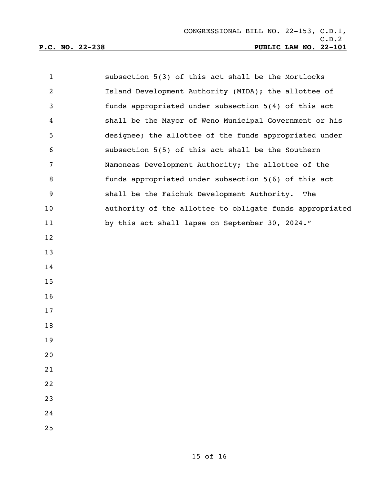| $\mathbf{1}$   | subsection 5(3) of this act shall be the Mortlocks       |
|----------------|----------------------------------------------------------|
| $\overline{2}$ | Island Development Authority (MIDA); the allottee of     |
| $\mathsf{3}$   | funds appropriated under subsection 5(4) of this act     |
| 4              | shall be the Mayor of Weno Municipal Government or his   |
| 5              | designee; the allottee of the funds appropriated under   |
| 6              | subsection 5(5) of this act shall be the Southern        |
| 7              | Namoneas Development Authority; the allottee of the      |
| 8              | funds appropriated under subsection 5(6) of this act     |
| 9              | shall be the Faichuk Development Authority. The          |
| 10             | authority of the allottee to obligate funds appropriated |
| 11             | by this act shall lapse on September 30, 2024."          |
| 12             |                                                          |
| 13             |                                                          |
| 14             |                                                          |
| 15             |                                                          |
| 16             |                                                          |
| 17             |                                                          |
| 18             |                                                          |
| 19             |                                                          |
| 20             |                                                          |
| 21             |                                                          |
| 22             |                                                          |
| 23             |                                                          |
| 24             |                                                          |
| 25             |                                                          |